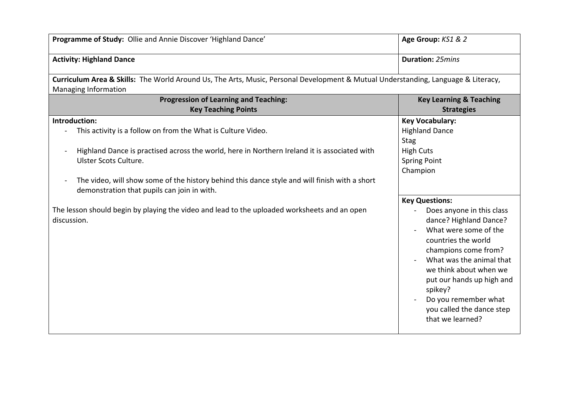| Programme of Study: Ollie and Annie Discover 'Highland Dance'                                                                                                                                                                                                                                                                                          | Age Group: KS1 & 2                                                                                                                                                                                                                                                                                                          |  |
|--------------------------------------------------------------------------------------------------------------------------------------------------------------------------------------------------------------------------------------------------------------------------------------------------------------------------------------------------------|-----------------------------------------------------------------------------------------------------------------------------------------------------------------------------------------------------------------------------------------------------------------------------------------------------------------------------|--|
| <b>Activity: Highland Dance</b>                                                                                                                                                                                                                                                                                                                        | <b>Duration: 25mins</b>                                                                                                                                                                                                                                                                                                     |  |
| Curriculum Area & Skills: The World Around Us, The Arts, Music, Personal Development & Mutual Understanding, Language & Literacy,<br>Managing Information                                                                                                                                                                                              |                                                                                                                                                                                                                                                                                                                             |  |
| <b>Progression of Learning and Teaching:</b><br><b>Key Teaching Points</b>                                                                                                                                                                                                                                                                             | <b>Key Learning &amp; Teaching</b><br><b>Strategies</b>                                                                                                                                                                                                                                                                     |  |
| Introduction:<br>This activity is a follow on from the What is Culture Video.<br>Highland Dance is practised across the world, here in Northern Ireland it is associated with<br>Ulster Scots Culture.<br>The video, will show some of the history behind this dance style and will finish with a short<br>demonstration that pupils can join in with. | <b>Key Vocabulary:</b><br><b>Highland Dance</b><br><b>Stag</b><br><b>High Cuts</b><br><b>Spring Point</b><br>Champion                                                                                                                                                                                                       |  |
| The lesson should begin by playing the video and lead to the uploaded worksheets and an open<br>discussion.                                                                                                                                                                                                                                            | <b>Key Questions:</b><br>Does anyone in this class<br>dance? Highland Dance?<br>What were some of the<br>countries the world<br>champions come from?<br>What was the animal that<br>we think about when we<br>put our hands up high and<br>spikey?<br>Do you remember what<br>you called the dance step<br>that we learned? |  |